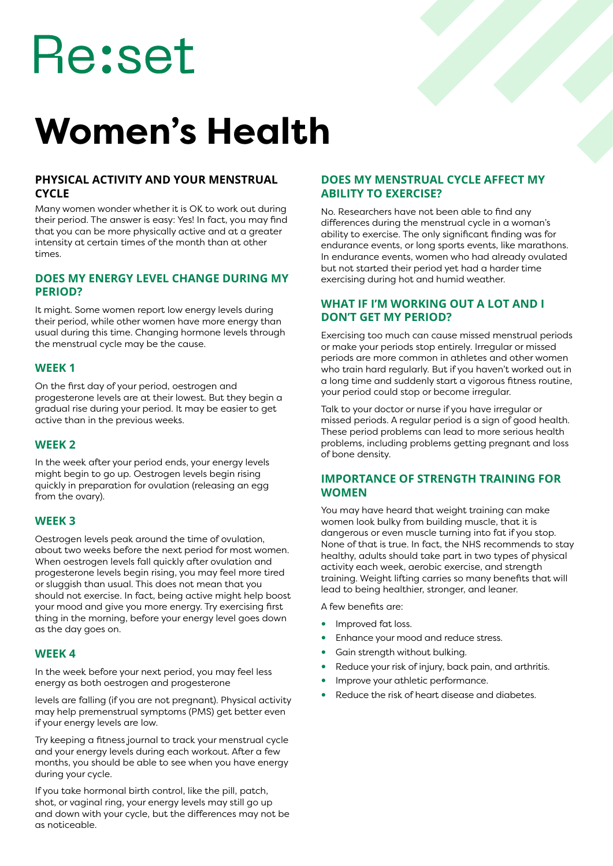# Re:set

# **Women's Health**

#### **PHYSICAL ACTIVITY AND YOUR MENSTRUAL CYCLE**

Many women wonder whether it is OK to work out during their period. The answer is easy: Yes! In fact, you may find that you can be more physically active and at a greater intensity at certain times of the month than at other times.

#### **DOES MY ENERGY LEVEL CHANGE DURING MY PERIOD?**

It might. Some women report low energy levels during their period, while other women have more energy than usual during this time. Changing hormone levels through the menstrual cycle may be the cause.

#### **WEEK 1**

On the first day of your period, oestrogen and progesterone levels are at their lowest. But they begin a gradual rise during your period. It may be easier to get active than in the previous weeks.

#### **WEEK 2**

In the week after your period ends, your energy levels might begin to go up. Oestrogen levels begin rising quickly in preparation for ovulation (releasing an egg from the ovary).

#### **WEEK 3**

Oestrogen levels peak around the time of ovulation, about two weeks before the next period for most women. When oestrogen levels fall quickly after ovulation and progesterone levels begin rising, you may feel more tired or sluggish than usual. This does not mean that you should not exercise. In fact, being active might help boost your mood and give you more energy. Try exercising first thing in the morning, before your energy level goes down as the day goes on.

#### **WEEK 4**

In the week before your next period, you may feel less energy as both oestrogen and progesterone

levels are falling (if you are not pregnant). Physical activity may help premenstrual symptoms (PMS) get better even if your energy levels are low.

Try keeping a fitness journal to track your menstrual cycle and your energy levels during each workout. After a few months, you should be able to see when you have energy during your cycle.

If you take hormonal birth control, like the pill, patch, shot, or vaginal ring, your energy levels may still go up and down with your cycle, but the differences may not be as noticeable.

#### **DOES MY MENSTRUAL CYCLE AFFECT MY ABILITY TO EXERCISE?**

No. Researchers have not been able to find any differences during the menstrual cycle in a woman's ability to exercise. The only significant finding was for endurance events, or long sports events, like marathons. In endurance events, women who had already ovulated but not started their period yet had a harder time exercising during hot and humid weather.

#### **WHAT IF I'M WORKING OUT A LOT AND I DON'T GET MY PERIOD?**

Exercising too much can cause missed menstrual periods or make your periods stop entirely. Irregular or missed periods are more common in athletes and other women who train hard regularly. But if you haven't worked out in a long time and suddenly start a vigorous fitness routine, your period could stop or become irregular.

Talk to your doctor or nurse if you have irregular or missed periods. A regular period is a sign of good health. These period problems can lead to more serious health problems, including problems getting pregnant and loss of bone density.

#### **IMPORTANCE OF STRENGTH TRAINING FOR WOMEN**

You may have heard that weight training can make women look bulky from building muscle, that it is dangerous or even muscle turning into fat if you stop. None of that is true. In fact, the NHS recommends to stay healthy, adults should take part in two types of physical activity each week, aerobic exercise, and strength training. Weight lifting carries so many benefits that will lead to being healthier, stronger, and leaner.

A few benefits are:

- Improved fat loss.
- Enhance your mood and reduce stress.
- Gain strength without bulking.
- Reduce your risk of injury, back pain, and arthritis.
- Improve your athletic performance.
- Reduce the risk of heart disease and diabetes.